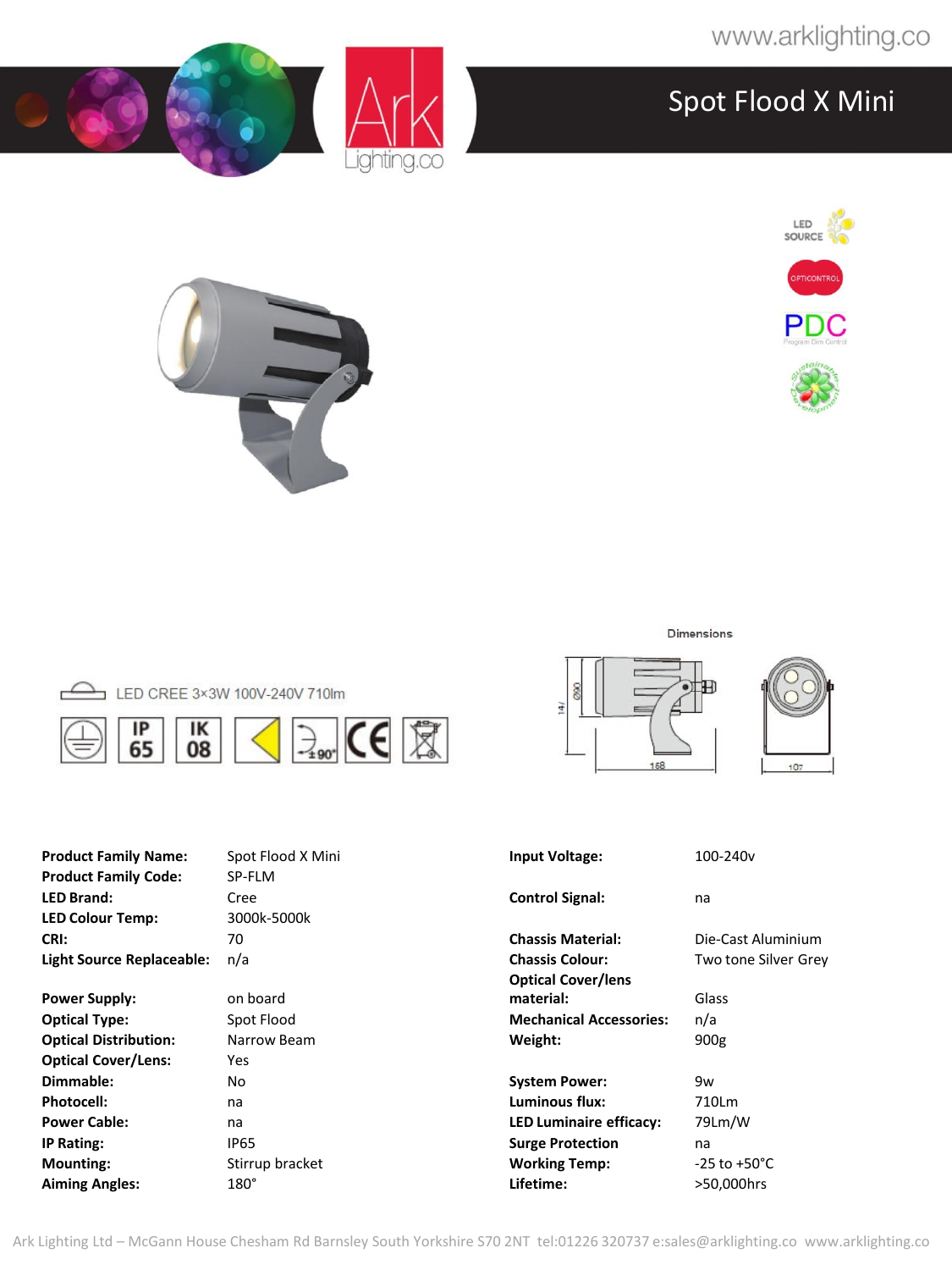







|  | LED CREE 3×3W 100V-240V 710lm                                                                   |        |  |
|--|-------------------------------------------------------------------------------------------------|--------|--|
|  | $\begin{array}{ c c c c }\n\hline\n\text{IP} & \text{IK} \\ \text{65} & \text{08}\n\end{array}$ | $\Box$ |  |

| <b>Product Family Name:</b>  | Spot Flood X Mini | <b>Input Voltage:</b>          | 100-240 <sub>v</sub>     |
|------------------------------|-------------------|--------------------------------|--------------------------|
| <b>Product Family Code:</b>  | SP-FLM            |                                |                          |
| <b>LED Brand:</b>            | Cree              | <b>Control Signal:</b>         | na                       |
| <b>LED Colour Temp:</b>      | 3000k-5000k       |                                |                          |
| CRI:                         | 70                | <b>Chassis Material:</b>       | Die-Cast Aluminium       |
| Light Source Replaceable:    | n/a               | <b>Chassis Colour:</b>         | Two tone Silver Grey     |
|                              |                   | <b>Optical Cover/lens</b>      |                          |
| <b>Power Supply:</b>         | on board          | material:                      | Glass                    |
| <b>Optical Type:</b>         | Spot Flood        | <b>Mechanical Accessories:</b> | n/a                      |
| <b>Optical Distribution:</b> | Narrow Beam       | Weight:                        | 900 <sub>g</sub>         |
| <b>Optical Cover/Lens:</b>   | Yes               |                                |                          |
| Dimmable:                    | No.               | <b>System Power:</b>           | 9w                       |
| Photocell:                   | na                | Luminous flux:                 | 710Lm                    |
| <b>Power Cable:</b>          | na                | <b>LED Luminaire efficacy:</b> | 79Lm/W                   |
| IP Rating:                   | <b>IP65</b>       | <b>Surge Protection</b>        | na                       |
| <b>Mounting:</b>             | Stirrup bracket   | <b>Working Temp:</b>           | $-25$ to $+50^{\circ}$ C |
| <b>Aiming Angles:</b>        | $180^\circ$       | Lifetime:                      | >50,000hrs               |

Dimensions





Ark Lighting Ltd – McGann House Chesham Rd Barnsley South Yorkshire S70 2NT tel:01226 320737 e:sales@arklighting.co www.arklighting.co